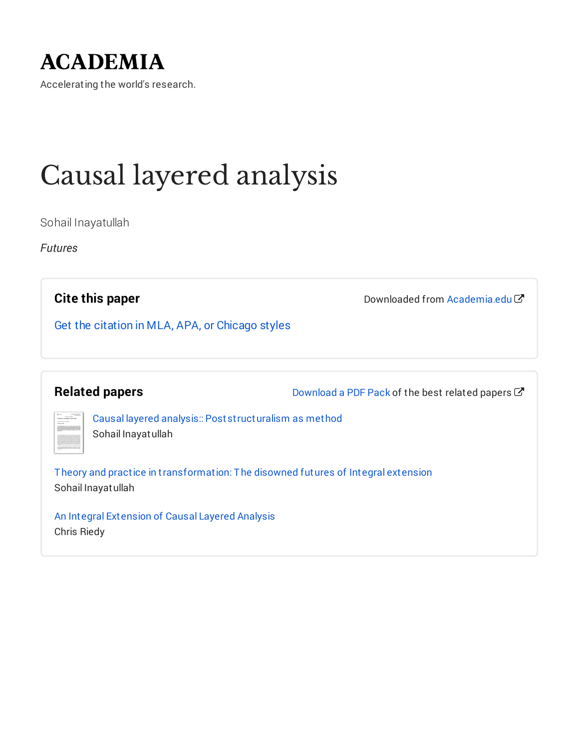# **ACADEMIA**

Accelerating the world's research.

# Causal layered analysis

Sohail Inayatullah

*Futures*

**Cite this paper**

Downloaded from [Academia.edu](https://www.academia.edu/48136812/Causal_layered_analysis?from=cover_page)

Get the citation in MLA, APA, or [Chicago](https://www.academia.edu/48136812/Causal_layered_analysis?auto=citations&from=cover_page) styles

## **Related papers**

[Download](https://www.academia.edu/48136812/Causal_layered_analysis?bulkDownload=thisPaper-topRelated-sameAuthor-citingThis-citedByThis-secondOrderCitations&from=cover_page) a PDF Pack of the best related papers  $\mathbb{Z}$ 



Sohail Inayatullah

Theory and practice in [transformation:](https://www.academia.edu/48136775/Theory_and_practice_in_transformation_The_disowned_futures_of_Integral_extension?from=cover_page) The disowned futures of Integral extension Sohail Inayatullah

Causal layered analysis:: [Poststructuralism](https://www.academia.edu/665062/Causal_layered_analysis_Poststructuralism_as_method?from=cover_page) as method

An Integral [Extension](https://www.academia.edu/305071/An_Integral_Extension_of_Causal_Layered_Analysis?from=cover_page) of Causal Layered Analysis Chris Riedy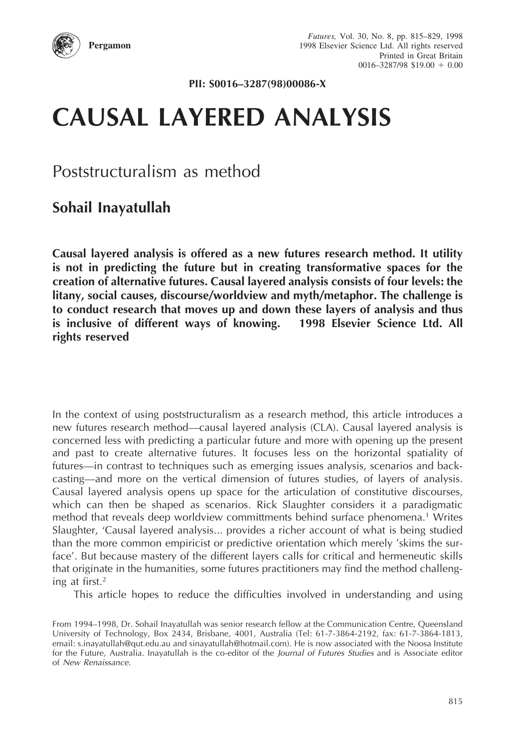

**PII: S0016–3287(98)00086-X**

# **CAUSAL LAYERED ANALYSIS**

## Poststructuralism as method

### **Sohail Inayatullah**

**Causal layered analysis is offered as a new futures research method. It utility is not in predicting the future but in creating transformative spaces for the creation of alternative futures. Causal layered analysis consists of four levels: the litany, social causes, discourse/worldview and myth/metaphor. The challenge is to conduct research that moves up and down these layers of analysis and thus is inclusive of different ways of knowing. 1998 Elsevier Science Ltd. All rights reserved**

In the context of using poststructuralism as a research method, this article introduces a new futures research method—causal layered analysis (CLA). Causal layered analysis is concerned less with predicting a particular future and more with opening up the present and past to create alternative futures. It focuses less on the horizontal spatiality of futures—in contrast to techniques such as emerging issues analysis, scenarios and backcasting—and more on the vertical dimension of futures studies, of layers of analysis. Causal layered analysis opens up space for the articulation of constitutive discourses, which can then be shaped as scenarios. Rick Slaughter considers it a paradigmatic method that reveals deep worldview committments behind surface phenomena.<sup>1</sup> Writes Slaughter, 'Causal layered analysis... provides a richer account of what is being studied than the more common empiricist or predictive orientation which merely 'skims the surface'. But because mastery of the different layers calls for critical and hermeneutic skills that originate in the humanities, some futures practitioners may find the method challenging at first.<sup>2</sup>

This article hopes to reduce the difficulties involved in understanding and using

From 1994–1998, Dr. Sohail Inayatullah was senior research fellow at the Communication Centre, Queensland University of Technology, Box 2434, Brisbane, 4001, Australia (Tel: 61-7-3864-2192, fax: 61-7-3864-1813, email: s.inayatullah@qut.edu.au and sinayatullah@hotmail.com). He is now associated with the Noosa Institute for the Future, Australia. Inayatullah is the co-editor of the *Journal of Futures Studies* and is Associate editor of *New Renaissance*.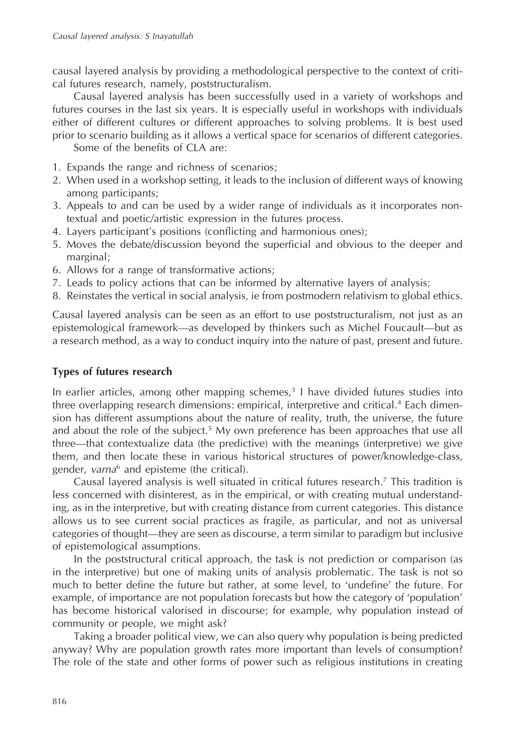causal layered analysis by providing a methodological perspective to the context of critical futures research, namely, poststructuralism.

Causal layered analysis has been successfully used in a variety of workshops and futures courses in the last six years. It is especially useful in workshops with individuals either of different cultures or different approaches to solving problems. It is best used prior to scenario building as it allows a vertical space for scenarios of different categories.

Some of the benefits of CLA are:

- 1. Expands the range and richness of scenarios;
- 2. When used in a workshop setting, it leads to the inclusion of different ways of knowing among participants;
- 3. Appeals to and can be used by a wider range of individuals as it incorporates nontextual and poetic/artistic expression in the futures process.
- 4. Layers participant's positions (conflicting and harmonious ones);
- 5. Moves the debate/discussion beyond the superficial and obvious to the deeper and marginal;
- 6. Allows for a range of transformative actions;
- 7. Leads to policy actions that can be informed by alternative layers of analysis;
- 8. Reinstates the vertical in social analysis, ie from postmodern relativism to global ethics.

Causal layered analysis can be seen as an effort to use poststructuralism, not just as an epistemological framework—as developed by thinkers such as Michel Foucault—but as a research method, as a way to conduct inquiry into the nature of past, present and future.

#### **Types of futures research**

In earlier articles, among other mapping schemes,<sup>3</sup> I have divided futures studies into three overlapping research dimensions: empirical, interpretive and critical.<sup>4</sup> Each dimension has different assumptions about the nature of reality, truth, the universe, the future and about the role of the subject.<sup>5</sup> My own preference has been approaches that use all three—that contextualize data (the predictive) with the meanings (interpretive) we give them, and then locate these in various historical structures of power/knowledge-class, gender, *varna*<sup>6</sup> and episteme (the critical).

Causal layered analysis is well situated in critical futures research.<sup>7</sup> This tradition is less concerned with disinterest, as in the empirical, or with creating mutual understanding, as in the interpretive, but with creating distance from current categories. This distance allows us to see current social practices as fragile, as particular, and not as universal categories of thought—they are seen as discourse, a term similar to paradigm but inclusive of epistemological assumptions.

In the poststructural critical approach, the task is not prediction or comparison (as in the interpretive) but one of making units of analysis problematic. The task is not so much to better define the future but rather, at some level, to 'undefine' the future. For example, of importance are not population forecasts but how the category of 'population' has become historical valorised in discourse; for example, why population instead of community or people, we might ask?

Taking a broader political view, we can also query why population is being predicted anyway? Why are population growth rates more important than levels of consumption? The role of the state and other forms of power such as religious institutions in creating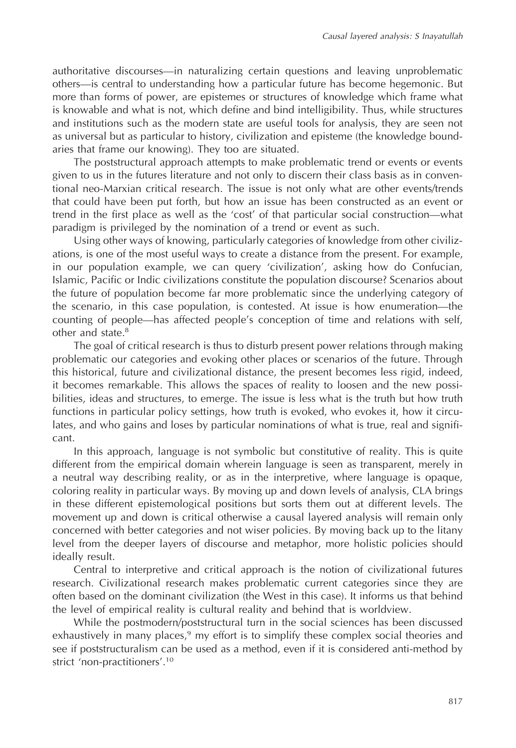authoritative discourses—in naturalizing certain questions and leaving unproblematic others—is central to understanding how a particular future has become hegemonic. But more than forms of power, are epistemes or structures of knowledge which frame what is knowable and what is not, which define and bind intelligibility. Thus, while structures and institutions such as the modern state are useful tools for analysis, they are seen not as universal but as particular to history, civilization and episteme (the knowledge boundaries that frame our knowing). They too are situated.

The poststructural approach attempts to make problematic trend or events or events given to us in the futures literature and not only to discern their class basis as in conventional neo-Marxian critical research. The issue is not only what are other events/trends that could have been put forth, but how an issue has been constructed as an event or trend in the first place as well as the 'cost' of that particular social construction—what paradigm is privileged by the nomination of a trend or event as such.

Using other ways of knowing, particularly categories of knowledge from other civilizations, is one of the most useful ways to create a distance from the present. For example, in our population example, we can query 'civilization', asking how do Confucian, Islamic, Pacific or Indic civilizations constitute the population discourse? Scenarios about the future of population become far more problematic since the underlying category of the scenario, in this case population, is contested. At issue is how enumeration—the counting of people—has affected people's conception of time and relations with self, other and state.<sup>8</sup>

The goal of critical research is thus to disturb present power relations through making problematic our categories and evoking other places or scenarios of the future. Through this historical, future and civilizational distance, the present becomes less rigid, indeed, it becomes remarkable. This allows the spaces of reality to loosen and the new possibilities, ideas and structures, to emerge. The issue is less what is the truth but how truth functions in particular policy settings, how truth is evoked, who evokes it, how it circulates, and who gains and loses by particular nominations of what is true, real and significant.

In this approach, language is not symbolic but constitutive of reality. This is quite different from the empirical domain wherein language is seen as transparent, merely in a neutral way describing reality, or as in the interpretive, where language is opaque, coloring reality in particular ways. By moving up and down levels of analysis, CLA brings in these different epistemological positions but sorts them out at different levels. The movement up and down is critical otherwise a causal layered analysis will remain only concerned with better categories and not wiser policies. By moving back up to the litany level from the deeper layers of discourse and metaphor, more holistic policies should ideally result.

Central to interpretive and critical approach is the notion of civilizational futures research. Civilizational research makes problematic current categories since they are often based on the dominant civilization (the West in this case). It informs us that behind the level of empirical reality is cultural reality and behind that is worldview.

While the postmodern/poststructural turn in the social sciences has been discussed exhaustively in many places,<sup>9</sup> my effort is to simplify these complex social theories and see if poststructuralism can be used as a method, even if it is considered anti-method by strict 'non-practitioners'.<sup>10</sup>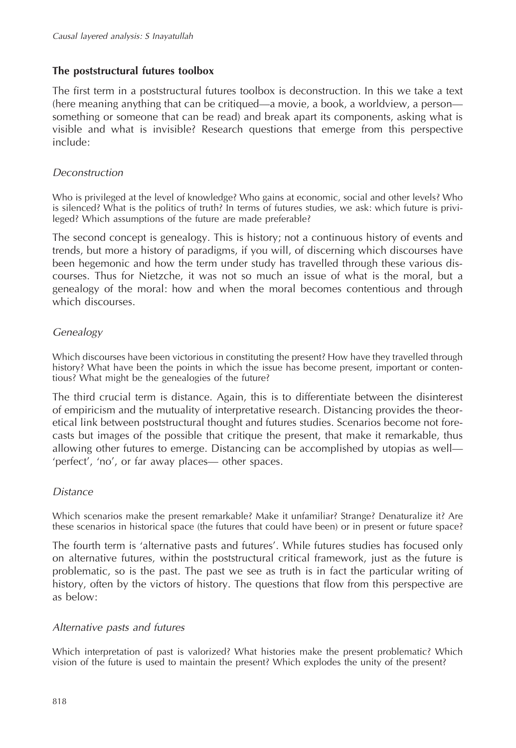#### **The poststructural futures toolbox**

The first term in a poststructural futures toolbox is deconstruction. In this we take a text (here meaning anything that can be critiqued—a movie, a book, a worldview, a person something or someone that can be read) and break apart its components, asking what is visible and what is invisible? Research questions that emerge from this perspective include:

#### *Deconstruction*

Who is privileged at the level of knowledge? Who gains at economic, social and other levels? Who is silenced? What is the politics of truth? In terms of futures studies, we ask: which future is privileged? Which assumptions of the future are made preferable?

The second concept is genealogy. This is history; not a continuous history of events and trends, but more a history of paradigms, if you will, of discerning which discourses have been hegemonic and how the term under study has travelled through these various discourses. Thus for Nietzche, it was not so much an issue of what is the moral, but a genealogy of the moral: how and when the moral becomes contentious and through which discourses.

#### *Genealogy*

Which discourses have been victorious in constituting the present? How have they travelled through history? What have been the points in which the issue has become present, important or contentious? What might be the genealogies of the future?

The third crucial term is distance. Again, this is to differentiate between the disinterest of empiricism and the mutuality of interpretative research. Distancing provides the theoretical link between poststructural thought and futures studies. Scenarios become not forecasts but images of the possible that critique the present, that make it remarkable, thus allowing other futures to emerge. Distancing can be accomplished by utopias as well— 'perfect', 'no', or far away places— other spaces.

#### *Distance*

Which scenarios make the present remarkable? Make it unfamiliar? Strange? Denaturalize it? Are these scenarios in historical space (the futures that could have been) or in present or future space?

The fourth term is 'alternative pasts and futures'. While futures studies has focused only on alternative futures, within the poststructural critical framework, just as the future is problematic, so is the past. The past we see as truth is in fact the particular writing of history, often by the victors of history. The questions that flow from this perspective are as below:

#### *Alternative pasts and futures*

Which interpretation of past is valorized? What histories make the present problematic? Which vision of the future is used to maintain the present? Which explodes the unity of the present?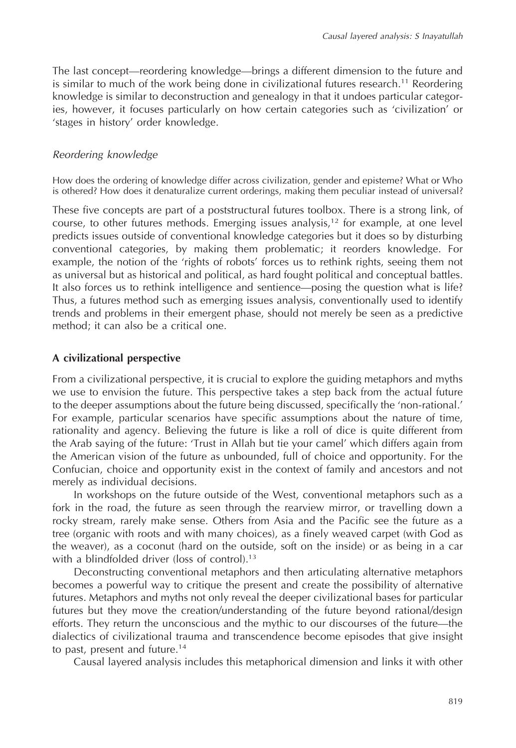The last concept—reordering knowledge—brings a different dimension to the future and is similar to much of the work being done in civilizational futures research.<sup>11</sup> Reordering knowledge is similar to deconstruction and genealogy in that it undoes particular categories, however, it focuses particularly on how certain categories such as 'civilization' or 'stages in history' order knowledge.

#### *Reordering knowledge*

How does the ordering of knowledge differ across civilization, gender and episteme? What or Who is othered? How does it denaturalize current orderings, making them peculiar instead of universal?

These five concepts are part of a poststructural futures toolbox. There is a strong link, of course, to other futures methods. Emerging issues analysis, $12$  for example, at one level predicts issues outside of conventional knowledge categories but it does so by disturbing conventional categories, by making them problematic; it reorders knowledge. For example, the notion of the 'rights of robots' forces us to rethink rights, seeing them not as universal but as historical and political, as hard fought political and conceptual battles. It also forces us to rethink intelligence and sentience—posing the question what is life? Thus, a futures method such as emerging issues analysis, conventionally used to identify trends and problems in their emergent phase, should not merely be seen as a predictive method; it can also be a critical one.

#### **A civilizational perspective**

From a civilizational perspective, it is crucial to explore the guiding metaphors and myths we use to envision the future. This perspective takes a step back from the actual future to the deeper assumptions about the future being discussed, specifically the 'non-rational.' For example, particular scenarios have specific assumptions about the nature of time, rationality and agency. Believing the future is like a roll of dice is quite different from the Arab saying of the future: 'Trust in Allah but tie your camel' which differs again from the American vision of the future as unbounded, full of choice and opportunity. For the Confucian, choice and opportunity exist in the context of family and ancestors and not merely as individual decisions.

In workshops on the future outside of the West, conventional metaphors such as a fork in the road, the future as seen through the rearview mirror, or travelling down a rocky stream, rarely make sense. Others from Asia and the Pacific see the future as a tree (organic with roots and with many choices), as a finely weaved carpet (with God as the weaver), as a coconut (hard on the outside, soft on the inside) or as being in a car with a blindfolded driver (loss of control).<sup>13</sup>

Deconstructing conventional metaphors and then articulating alternative metaphors becomes a powerful way to critique the present and create the possibility of alternative futures. Metaphors and myths not only reveal the deeper civilizational bases for particular futures but they move the creation/understanding of the future beyond rational/design efforts. They return the unconscious and the mythic to our discourses of the future—the dialectics of civilizational trauma and transcendence become episodes that give insight to past, present and future.<sup>14</sup>

Causal layered analysis includes this metaphorical dimension and links it with other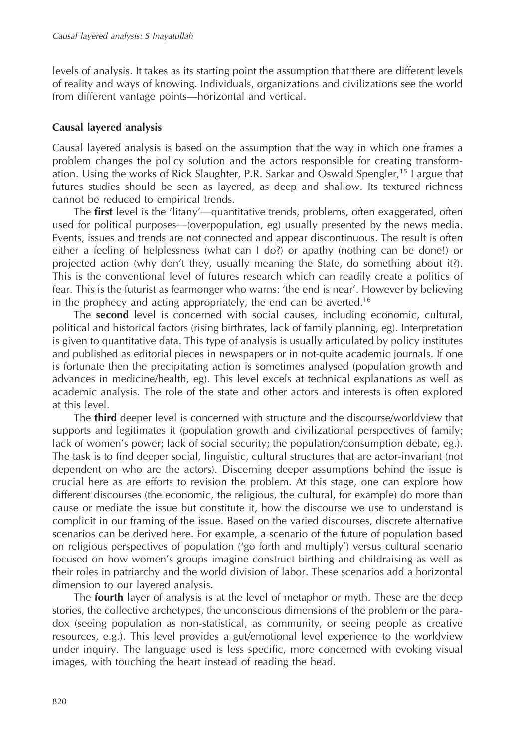levels of analysis. It takes as its starting point the assumption that there are different levels of reality and ways of knowing. Individuals, organizations and civilizations see the world from different vantage points—horizontal and vertical.

#### **Causal layered analysis**

Causal layered analysis is based on the assumption that the way in which one frames a problem changes the policy solution and the actors responsible for creating transformation. Using the works of Rick Slaughter, P.R. Sarkar and Oswald Spengler,<sup>15</sup> I argue that futures studies should be seen as layered, as deep and shallow. Its textured richness cannot be reduced to empirical trends.

The **first** level is the 'litany'—quantitative trends, problems, often exaggerated, often used for political purposes—(overpopulation, eg) usually presented by the news media. Events, issues and trends are not connected and appear discontinuous. The result is often either a feeling of helplessness (what can I do?) or apathy (nothing can be done!) or projected action (why don't they, usually meaning the State, do something about it?). This is the conventional level of futures research which can readily create a politics of fear. This is the futurist as fearmonger who warns: 'the end is near'. However by believing in the prophecy and acting appropriately, the end can be averted.<sup>16</sup>

The **second** level is concerned with social causes, including economic, cultural, political and historical factors (rising birthrates, lack of family planning, eg). Interpretation is given to quantitative data. This type of analysis is usually articulated by policy institutes and published as editorial pieces in newspapers or in not-quite academic journals. If one is fortunate then the precipitating action is sometimes analysed (population growth and advances in medicine/health, eg). This level excels at technical explanations as well as academic analysis. The role of the state and other actors and interests is often explored at this level.

The **third** deeper level is concerned with structure and the discourse/worldview that supports and legitimates it (population growth and civilizational perspectives of family; lack of women's power; lack of social security; the population/consumption debate, eg.). The task is to find deeper social, linguistic, cultural structures that are actor-invariant (not dependent on who are the actors). Discerning deeper assumptions behind the issue is crucial here as are efforts to revision the problem. At this stage, one can explore how different discourses (the economic, the religious, the cultural, for example) do more than cause or mediate the issue but constitute it, how the discourse we use to understand is complicit in our framing of the issue. Based on the varied discourses, discrete alternative scenarios can be derived here. For example, a scenario of the future of population based on religious perspectives of population ('go forth and multiply') versus cultural scenario focused on how women's groups imagine construct birthing and childraising as well as their roles in patriarchy and the world division of labor. These scenarios add a horizontal dimension to our layered analysis.

The **fourth** layer of analysis is at the level of metaphor or myth. These are the deep stories, the collective archetypes, the unconscious dimensions of the problem or the paradox (seeing population as non-statistical, as community, or seeing people as creative resources, e.g.). This level provides a gut/emotional level experience to the worldview under inquiry. The language used is less specific, more concerned with evoking visual images, with touching the heart instead of reading the head.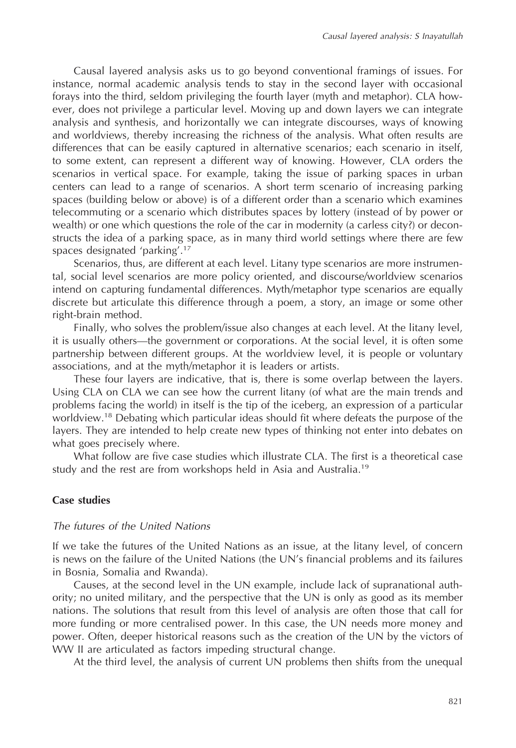Causal layered analysis asks us to go beyond conventional framings of issues. For instance, normal academic analysis tends to stay in the second layer with occasional forays into the third, seldom privileging the fourth layer (myth and metaphor). CLA however, does not privilege a particular level. Moving up and down layers we can integrate analysis and synthesis, and horizontally we can integrate discourses, ways of knowing and worldviews, thereby increasing the richness of the analysis. What often results are differences that can be easily captured in alternative scenarios; each scenario in itself, to some extent, can represent a different way of knowing. However, CLA orders the scenarios in vertical space. For example, taking the issue of parking spaces in urban centers can lead to a range of scenarios. A short term scenario of increasing parking spaces (building below or above) is of a different order than a scenario which examines telecommuting or a scenario which distributes spaces by lottery (instead of by power or wealth) or one which questions the role of the car in modernity (a carless city?) or deconstructs the idea of a parking space, as in many third world settings where there are few spaces designated 'parking'.<sup>17</sup>

Scenarios, thus, are different at each level. Litany type scenarios are more instrumental, social level scenarios are more policy oriented, and discourse/worldview scenarios intend on capturing fundamental differences. Myth/metaphor type scenarios are equally discrete but articulate this difference through a poem, a story, an image or some other right-brain method.

Finally, who solves the problem/issue also changes at each level. At the litany level, it is usually others—the government or corporations. At the social level, it is often some partnership between different groups. At the worldview level, it is people or voluntary associations, and at the myth/metaphor it is leaders or artists.

These four layers are indicative, that is, there is some overlap between the layers. Using CLA on CLA we can see how the current litany (of what are the main trends and problems facing the world) in itself is the tip of the iceberg, an expression of a particular worldview.<sup>18</sup> Debating which particular ideas should fit where defeats the purpose of the layers. They are intended to help create new types of thinking not enter into debates on what goes precisely where.

What follow are five case studies which illustrate CLA. The first is a theoretical case study and the rest are from workshops held in Asia and Australia.<sup>19</sup>

#### **Case studies**

#### *The futures of the United Nations*

If we take the futures of the United Nations as an issue, at the litany level, of concern is news on the failure of the United Nations (the UN's financial problems and its failures in Bosnia, Somalia and Rwanda).

Causes, at the second level in the UN example, include lack of supranational authority; no united military, and the perspective that the UN is only as good as its member nations. The solutions that result from this level of analysis are often those that call for more funding or more centralised power. In this case, the UN needs more money and power. Often, deeper historical reasons such as the creation of the UN by the victors of WW II are articulated as factors impeding structural change.

At the third level, the analysis of current UN problems then shifts from the unequal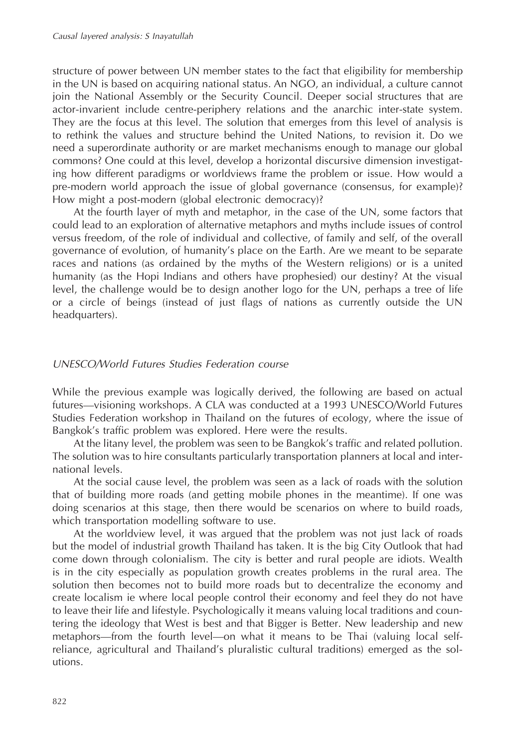structure of power between UN member states to the fact that eligibility for membership in the UN is based on acquiring national status. An NGO, an individual, a culture cannot join the National Assembly or the Security Council. Deeper social structures that are actor-invarient include centre-periphery relations and the anarchic inter-state system. They are the focus at this level. The solution that emerges from this level of analysis is to rethink the values and structure behind the United Nations, to revision it. Do we need a superordinate authority or are market mechanisms enough to manage our global commons? One could at this level, develop a horizontal discursive dimension investigating how different paradigms or worldviews frame the problem or issue. How would a pre-modern world approach the issue of global governance (consensus, for example)? How might a post-modern (global electronic democracy)?

At the fourth layer of myth and metaphor, in the case of the UN, some factors that could lead to an exploration of alternative metaphors and myths include issues of control versus freedom, of the role of individual and collective, of family and self, of the overall governance of evolution, of humanity's place on the Earth. Are we meant to be separate races and nations (as ordained by the myths of the Western religions) or is a united humanity (as the Hopi Indians and others have prophesied) our destiny? At the visual level, the challenge would be to design another logo for the UN, perhaps a tree of life or a circle of beings (instead of just flags of nations as currently outside the UN headquarters).

#### *UNESCO/World Futures Studies Federation course*

While the previous example was logically derived, the following are based on actual futures—visioning workshops. A CLA was conducted at a 1993 UNESCO/World Futures Studies Federation workshop in Thailand on the futures of ecology, where the issue of Bangkok's traffic problem was explored. Here were the results.

At the litany level, the problem was seen to be Bangkok's traffic and related pollution. The solution was to hire consultants particularly transportation planners at local and international levels.

At the social cause level, the problem was seen as a lack of roads with the solution that of building more roads (and getting mobile phones in the meantime). If one was doing scenarios at this stage, then there would be scenarios on where to build roads, which transportation modelling software to use.

At the worldview level, it was argued that the problem was not just lack of roads but the model of industrial growth Thailand has taken. It is the big City Outlook that had come down through colonialism. The city is better and rural people are idiots. Wealth is in the city especially as population growth creates problems in the rural area. The solution then becomes not to build more roads but to decentralize the economy and create localism ie where local people control their economy and feel they do not have to leave their life and lifestyle. Psychologically it means valuing local traditions and countering the ideology that West is best and that Bigger is Better. New leadership and new metaphors—from the fourth level—on what it means to be Thai (valuing local selfreliance, agricultural and Thailand's pluralistic cultural traditions) emerged as the solutions.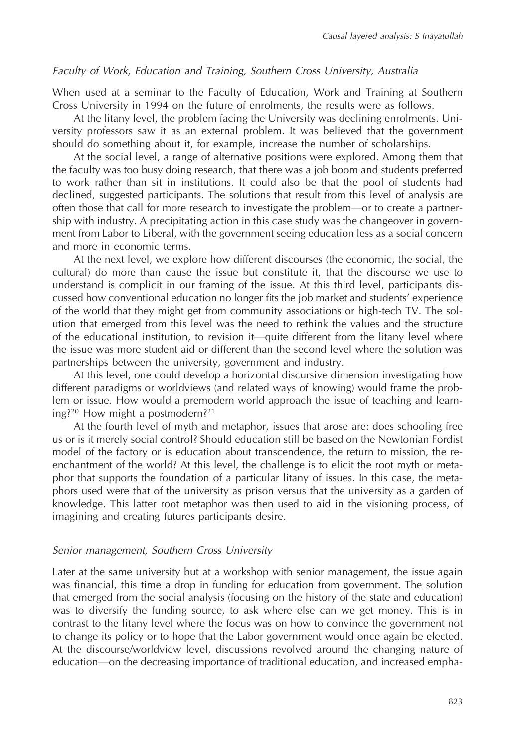#### *Faculty of Work, Education and Training, Southern Cross University, Australia*

When used at a seminar to the Faculty of Education, Work and Training at Southern Cross University in 1994 on the future of enrolments, the results were as follows.

At the litany level, the problem facing the University was declining enrolments. University professors saw it as an external problem. It was believed that the government should do something about it, for example, increase the number of scholarships.

At the social level, a range of alternative positions were explored. Among them that the faculty was too busy doing research, that there was a job boom and students preferred to work rather than sit in institutions. It could also be that the pool of students had declined, suggested participants. The solutions that result from this level of analysis are often those that call for more research to investigate the problem—or to create a partnership with industry. A precipitating action in this case study was the changeover in government from Labor to Liberal, with the government seeing education less as a social concern and more in economic terms.

At the next level, we explore how different discourses (the economic, the social, the cultural) do more than cause the issue but constitute it, that the discourse we use to understand is complicit in our framing of the issue. At this third level, participants discussed how conventional education no longer fits the job market and students' experience of the world that they might get from community associations or high-tech TV. The solution that emerged from this level was the need to rethink the values and the structure of the educational institution, to revision it—quite different from the litany level where the issue was more student aid or different than the second level where the solution was partnerships between the university, government and industry.

At this level, one could develop a horizontal discursive dimension investigating how different paradigms or worldviews (and related ways of knowing) would frame the problem or issue. How would a premodern world approach the issue of teaching and learning?<sup>20</sup> How might a postmodern?<sup>21</sup>

At the fourth level of myth and metaphor, issues that arose are: does schooling free us or is it merely social control? Should education still be based on the Newtonian Fordist model of the factory or is education about transcendence, the return to mission, the reenchantment of the world? At this level, the challenge is to elicit the root myth or metaphor that supports the foundation of a particular litany of issues. In this case, the metaphors used were that of the university as prison versus that the university as a garden of knowledge. This latter root metaphor was then used to aid in the visioning process, of imagining and creating futures participants desire.

#### *Senior management, Southern Cross University*

Later at the same university but at a workshop with senior management, the issue again was financial, this time a drop in funding for education from government. The solution that emerged from the social analysis (focusing on the history of the state and education) was to diversify the funding source, to ask where else can we get money. This is in contrast to the litany level where the focus was on how to convince the government not to change its policy or to hope that the Labor government would once again be elected. At the discourse/worldview level, discussions revolved around the changing nature of education—on the decreasing importance of traditional education, and increased empha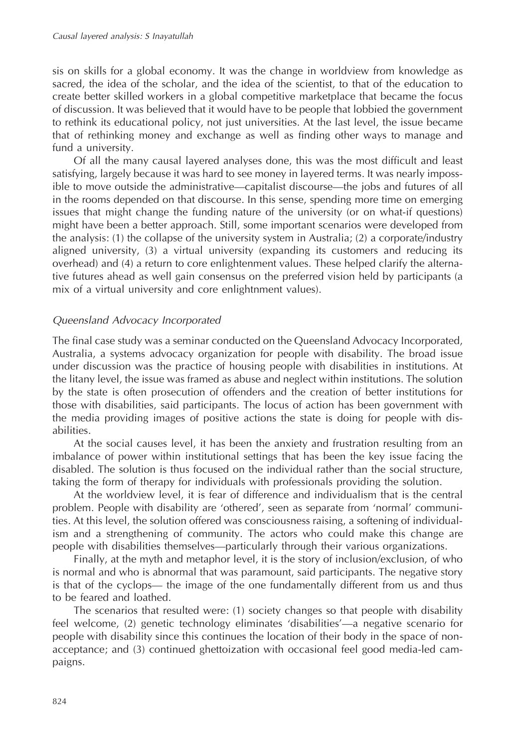sis on skills for a global economy. It was the change in worldview from knowledge as sacred, the idea of the scholar, and the idea of the scientist, to that of the education to create better skilled workers in a global competitive marketplace that became the focus of discussion. It was believed that it would have to be people that lobbied the government to rethink its educational policy, not just universities. At the last level, the issue became that of rethinking money and exchange as well as finding other ways to manage and fund a university.

Of all the many causal layered analyses done, this was the most difficult and least satisfying, largely because it was hard to see money in layered terms. It was nearly impossible to move outside the administrative—capitalist discourse—the jobs and futures of all in the rooms depended on that discourse. In this sense, spending more time on emerging issues that might change the funding nature of the university (or on what-if questions) might have been a better approach. Still, some important scenarios were developed from the analysis: (1) the collapse of the university system in Australia; (2) a corporate/industry aligned university, (3) a virtual university (expanding its customers and reducing its overhead) and (4) a return to core enlightenment values. These helped clarify the alternative futures ahead as well gain consensus on the preferred vision held by participants (a mix of a virtual university and core enlightnment values).

#### *Queensland Advocacy Incorporated*

The final case study was a seminar conducted on the Queensland Advocacy Incorporated, Australia, a systems advocacy organization for people with disability. The broad issue under discussion was the practice of housing people with disabilities in institutions. At the litany level, the issue was framed as abuse and neglect within institutions. The solution by the state is often prosecution of offenders and the creation of better institutions for those with disabilities, said participants. The locus of action has been government with the media providing images of positive actions the state is doing for people with disabilities.

At the social causes level, it has been the anxiety and frustration resulting from an imbalance of power within institutional settings that has been the key issue facing the disabled. The solution is thus focused on the individual rather than the social structure, taking the form of therapy for individuals with professionals providing the solution.

At the worldview level, it is fear of difference and individualism that is the central problem. People with disability are 'othered', seen as separate from 'normal' communities. At this level, the solution offered was consciousness raising, a softening of individualism and a strengthening of community. The actors who could make this change are people with disabilities themselves—particularly through their various organizations.

Finally, at the myth and metaphor level, it is the story of inclusion/exclusion, of who is normal and who is abnormal that was paramount, said participants. The negative story is that of the cyclops— the image of the one fundamentally different from us and thus to be feared and loathed.

The scenarios that resulted were: (1) society changes so that people with disability feel welcome, (2) genetic technology eliminates 'disabilities'—a negative scenario for people with disability since this continues the location of their body in the space of nonacceptance; and (3) continued ghettoization with occasional feel good media-led campaigns.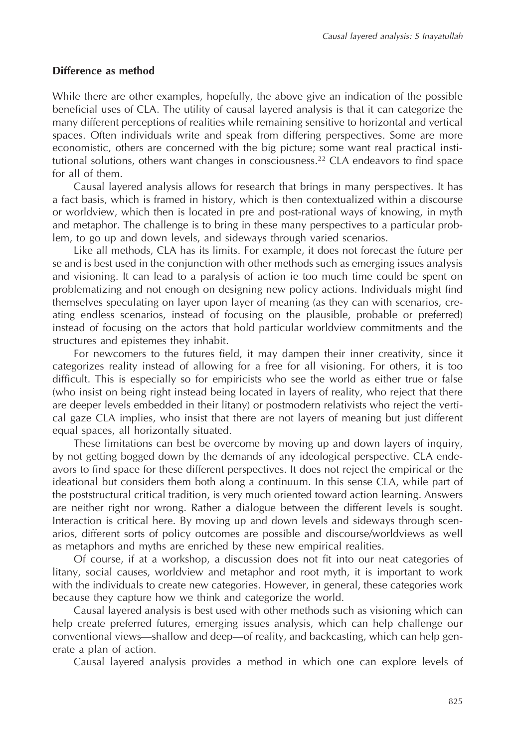#### **Difference as method**

While there are other examples, hopefully, the above give an indication of the possible beneficial uses of CLA. The utility of causal layered analysis is that it can categorize the many different perceptions of realities while remaining sensitive to horizontal and vertical spaces. Often individuals write and speak from differing perspectives. Some are more economistic, others are concerned with the big picture; some want real practical institutional solutions, others want changes in consciousness.<sup>22</sup> CLA endeavors to find space for all of them.

Causal layered analysis allows for research that brings in many perspectives. It has a fact basis, which is framed in history, which is then contextualized within a discourse or worldview, which then is located in pre and post-rational ways of knowing, in myth and metaphor. The challenge is to bring in these many perspectives to a particular problem, to go up and down levels, and sideways through varied scenarios.

Like all methods, CLA has its limits. For example, it does not forecast the future per se and is best used in the conjunction with other methods such as emerging issues analysis and visioning. It can lead to a paralysis of action ie too much time could be spent on problematizing and not enough on designing new policy actions. Individuals might find themselves speculating on layer upon layer of meaning (as they can with scenarios, creating endless scenarios, instead of focusing on the plausible, probable or preferred) instead of focusing on the actors that hold particular worldview commitments and the structures and epistemes they inhabit.

For newcomers to the futures field, it may dampen their inner creativity, since it categorizes reality instead of allowing for a free for all visioning. For others, it is too difficult. This is especially so for empiricists who see the world as either true or false (who insist on being right instead being located in layers of reality, who reject that there are deeper levels embedded in their litany) or postmodern relativists who reject the vertical gaze CLA implies, who insist that there are not layers of meaning but just different equal spaces, all horizontally situated.

These limitations can best be overcome by moving up and down layers of inquiry, by not getting bogged down by the demands of any ideological perspective. CLA endeavors to find space for these different perspectives. It does not reject the empirical or the ideational but considers them both along a continuum. In this sense CLA, while part of the poststructural critical tradition, is very much oriented toward action learning. Answers are neither right nor wrong. Rather a dialogue between the different levels is sought. Interaction is critical here. By moving up and down levels and sideways through scenarios, different sorts of policy outcomes are possible and discourse/worldviews as well as metaphors and myths are enriched by these new empirical realities.

Of course, if at a workshop, a discussion does not fit into our neat categories of litany, social causes, worldview and metaphor and root myth, it is important to work with the individuals to create new categories. However, in general, these categories work because they capture how we think and categorize the world.

Causal layered analysis is best used with other methods such as visioning which can help create preferred futures, emerging issues analysis, which can help challenge our conventional views—shallow and deep—of reality, and backcasting, which can help generate a plan of action.

Causal layered analysis provides a method in which one can explore levels of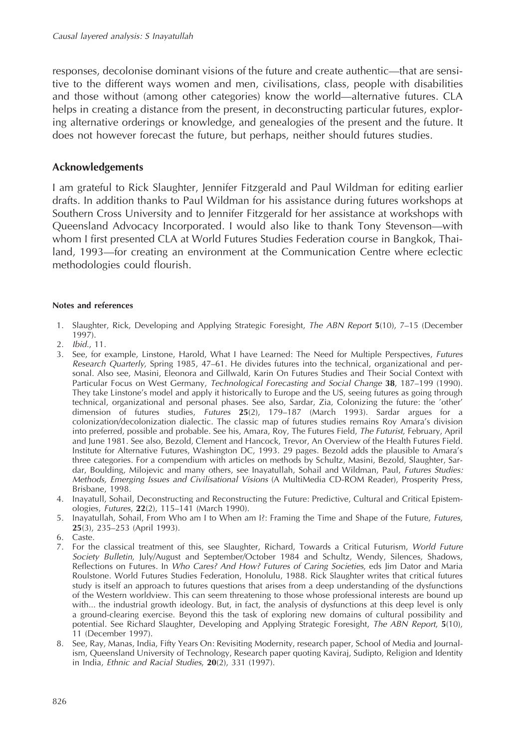responses, decolonise dominant visions of the future and create authentic—that are sensitive to the different ways women and men, civilisations, class, people with disabilities and those without (among other categories) know the world—alternative futures. CLA helps in creating a distance from the present, in deconstructing particular futures, exploring alternative orderings or knowledge, and genealogies of the present and the future. It does not however forecast the future, but perhaps, neither should futures studies.

#### **Acknowledgements**

I am grateful to Rick Slaughter, Jennifer Fitzgerald and Paul Wildman for editing earlier drafts. In addition thanks to Paul Wildman for his assistance during futures workshops at Southern Cross University and to Jennifer Fitzgerald for her assistance at workshops with Queensland Advocacy Incorporated. I would also like to thank Tony Stevenson—with whom I first presented CLA at World Futures Studies Federation course in Bangkok, Thailand, 1993—for creating an environment at the Communication Centre where eclectic methodologies could flourish.

#### **Notes and references**

- 1. Slaughter, Rick, Developing and Applying Strategic Foresight, *The ABN Report* **5**(10), 7–15 (December 1997).
- 2. *Ibid*., 11.
- 3. See, for example, Linstone, Harold, What I have Learned: The Need for Multiple Perspectives, *Futures Research Quarterly*, Spring 1985, 47–61. He divides futures into the technical, organizational and personal. Also see, Masini, Eleonora and Gillwald, Karin On Futures Studies and Their Social Context with Particular Focus on West Germany, *Technological Forecasting and Social Change* **38**, 187–199 (1990). They take Linstone's model and apply it historically to Europe and the US, seeing futures as going through technical, organizational and personal phases. See also, Sardar, Zia, Colonizing the future: the 'other' dimension of futures studies, *Futures* **25**(2), 179–187 (March 1993). Sardar argues for a colonization/decolonization dialectic. The classic map of futures studies remains Roy Amara's division into preferred, possible and probable. See his, Amara, Roy, The Futures Field, *The Futurist*, February, April and June 1981. See also, Bezold, Clement and Hancock, Trevor, An Overview of the Health Futures Field. Institute for Alternative Futures, Washington DC, 1993. 29 pages. Bezold adds the plausible to Amara's three categories. For a compendium with articles on methods by Schultz, Masini, Bezold, Slaughter, Sardar, Boulding, Milojevic and many others, see Inayatullah, Sohail and Wildman, Paul, *Futures Studies: Methods, Emerging Issues and Civilisational Visions* (A MultiMedia CD-ROM Reader), Prosperity Press, Brisbane, 1998.
- 4. Inayatull, Sohail, Deconstructing and Reconstructing the Future: Predictive, Cultural and Critical Epistemologies, *Futures*, **22**(2), 115–141 (March 1990).
- 5. Inayatullah, Sohail, From Who am I to When am I?: Framing the Time and Shape of the Future, *Futures*, **25**(3), 235–253 (April 1993).
- 6. Caste.
- 7. For the classical treatment of this, see Slaughter, Richard, Towards a Critical Futurism, *World Future Society Bulletin*, July/August and September/October 1984 and Schultz, Wendy, Silences, Shadows, Reflections on Futures. In *Who Cares? And How? Futures of Caring Societies*, eds Jim Dator and Maria Roulstone. World Futures Studies Federation, Honolulu, 1988. Rick Slaughter writes that critical futures study is itself an approach to futures questions that arises from a deep understanding of the dysfunctions of the Western worldview. This can seem threatening to those whose professional interests are bound up with... the industrial growth ideology. But, in fact, the analysis of dysfunctions at this deep level is only a ground-clearing exercise. Beyond this the task of exploring new domains of cultural possibility and potential. See Richard Slaughter, Developing and Applying Strategic Foresight, *The ABN Report*, **5**(10), 11 (December 1997).
- 8. See, Ray, Manas, India, Fifty Years On: Revisiting Modernity, research paper, School of Media and Journalism, Queensland University of Technology, Research paper quoting Kaviraj, Sudipto, Religion and Identity in India, *Ethnic and Racial Studies*, **20**(2), 331 (1997).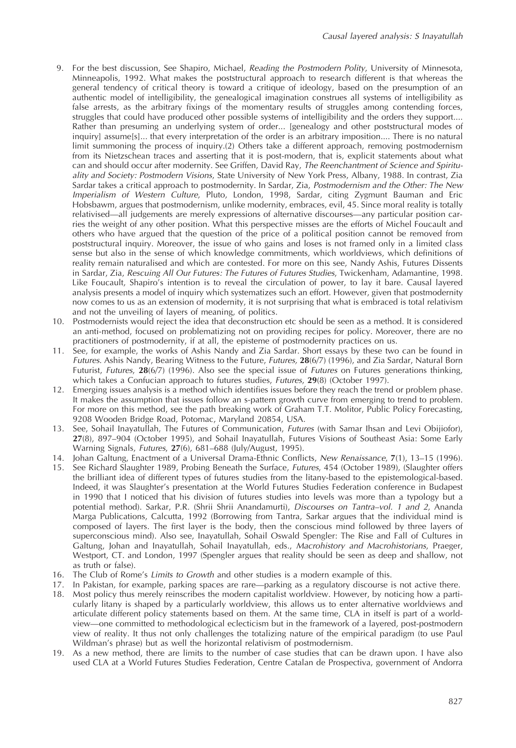- 9. For the best discussion, See Shapiro, Michael, *Reading the Postmodern Polity*, University of Minnesota, Minneapolis, 1992. What makes the poststructural approach to research different is that whereas the general tendency of critical theory is toward a critique of ideology, based on the presumption of an authentic model of intelligibility, the genealogical imagination construes all systems of intelligibility as false arrests, as the arbitrary fixings of the momentary results of struggles among contending forces, struggles that could have produced other possible systems of intelligibility and the orders they support.... Rather than presuming an underlying system of order... [genealogy and other poststructural modes of inquiry] assume[s]... that every interpretation of the order is an arbitrary imposition.... There is no natural limit summoning the process of inquiry.(2) Others take a different approach, removing postmodernism from its Nietzschean traces and asserting that it is post-modern, that is, explicit statements about what can and should occur after modernity. See Griffen, David Ray, *The Reenchantment of Science and Spirituality and Society: Postmodern Visions*, State University of New York Press, Albany, 1988. In contrast, Zia Sardar takes a critical approach to postmodernity. In Sardar, Zia, *Postmodernism and the Other: The New Imperialism of Western Culture*, Pluto, London, 1998, Sardar, citing Zygmunt Bauman and Eric Hobsbawm, argues that postmodernism, unlike modernity, embraces, evil, 45. Since moral reality is totally relativised—all judgements are merely expressions of alternative discourses—any particular position carries the weight of any other position. What this perspective misses are the efforts of Michel Foucault and others who have argued that the question of the price of a political position cannot be removed from poststructural inquiry. Moreover, the issue of who gains and loses is not framed only in a limited class sense but also in the sense of which knowledge commitments, which worldviews, which definitions of reality remain naturalised and which are contested. For more on this see, Nandy Ashis, Futures Dissents in Sardar, Zia, *Rescuing All Our Futures: The Futures of Futures Studies*, Twickenham, Adamantine, 1998. Like Foucault, Shapiro's intention is to reveal the circulation of power, to lay it bare. Causal layered analysis presents a model of inquiry which systematizes such an effort. However, given that postmodernity now comes to us as an extension of modernity, it is not surprising that what is embraced is total relativism and not the unveiling of layers of meaning, of politics.
- 10. Postmodernists would reject the idea that deconstruction etc should be seen as a method. It is considered an anti-method, focused on problematizing not on providing recipes for policy. Moreover, there are no practitioners of postmodernity, if at all, the episteme of postmodernity practices on us.
- 11. See, for example, the works of Ashis Nandy and Zia Sardar. Short essays by these two can be found in *Futures*. Ashis Nandy, Bearing Witness to the Future, *Futures,* **28**(6/7) (1996), and Zia Sardar, Natural Born Futurist, *Futures*, **28**(6/7) (1996). Also see the special issue of *Futures* on Futures generations thinking, which takes a Confucian approach to futures studies, *Futures*, **29**(8) (October 1997).
- 12. Emerging issues analysis is a method which identifies issues before they reach the trend or problem phase. It makes the assumption that issues follow an s-pattern growth curve from emerging to trend to problem. For more on this method, see the path breaking work of Graham T.T. Molitor, Public Policy Forecasting, 9208 Wooden Bridge Road, Potomac, Maryland 20854, USA.
- 13. See, Sohail Inayatullah, The Futures of Communication, *Futures* (with Samar Ihsan and Levi Obijiofor), **27**(8), 897–904 (October 1995), and Sohail Inayatullah, Futures Visions of Southeast Asia: Some Early Warning Signals, *Futures*, **27**(6), 681–688 (July/August, 1995).
- 14. Johan Galtung, Enactment of a Universal Drama-Ethnic Conflicts, *New Renaissance*, **7**(1), 13–15 (1996).
- 15. See Richard Slaughter 1989, Probing Beneath the Surface, *Futures*, 454 (October 1989), (Slaughter offers the brilliant idea of different types of futures studies from the litany-based to the epistemological-based. Indeed, it was Slaughter's presentation at the World Futures Studies Federation conference in Budapest in 1990 that I noticed that his division of futures studies into levels was more than a typology but a potential method). Sarkar, P.R. (Shrii Shrii Anandamurti), *Discourses on Tantra–vol. 1 and 2*, Ananda Marga Publications, Calcutta, 1992 (Borrowing from Tantra, Sarkar argues that the individual mind is composed of layers. The first layer is the body, then the conscious mind followed by three layers of superconscious mind). Also see, Inayatullah, Sohail Oswald Spengler: The Rise and Fall of Cultures in Galtung, Johan and Inayatullah, Sohail Inayatullah, eds., *Macrohistory and Macrohistorians*, Praeger, Westport, CT. and London, 1997 (Spengler argues that reality should be seen as deep and shallow, not as truth or false).
- 16. The Club of Rome's *Limits to Growth* and other studies is a modern example of this.
- 17. In Pakistan, for example, parking spaces are rare—parking as a regulatory discourse is not active there.
- 18. Most policy thus merely reinscribes the modern capitalist worldview. However, by noticing how a particularly litany is shaped by a particularly worldview, this allows us to enter alternative worldviews and articulate different policy statements based on them. At the same time, CLA in itself is part of a worldview—one committed to methodological eclecticism but in the framework of a layered, post-postmodern view of reality. It thus not only challenges the totalizing nature of the empirical paradigm (to use Paul Wildman's phrase) but as well the horizontal relativism of postmodernism.
- 19. As a new method, there are limits to the number of case studies that can be drawn upon. I have also used CLA at a World Futures Studies Federation, Centre Catalan de Prospectiva, government of Andorra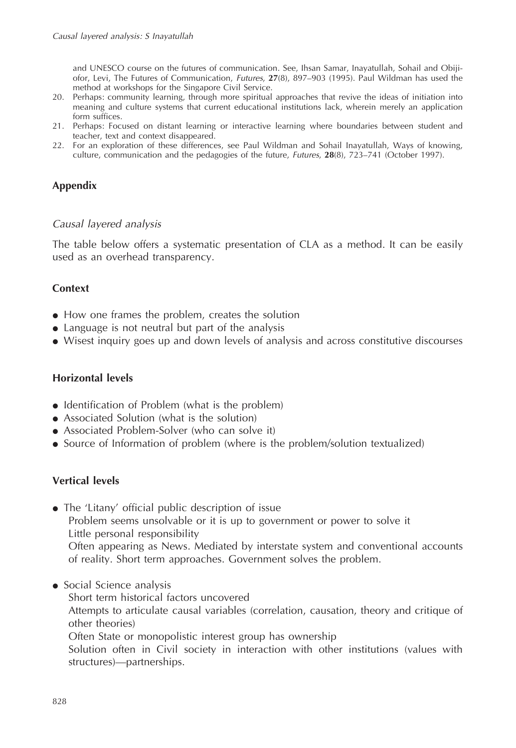and UNESCO course on the futures of communication. See, Ihsan Samar, Inayatullah, Sohail and Obijiofor, Levi, The Futures of Communication, *Futures*, **27**(8), 897–903 (1995). Paul Wildman has used the method at workshops for the Singapore Civil Service.

- 20. Perhaps: community learning, through more spiritual approaches that revive the ideas of initiation into meaning and culture systems that current educational institutions lack, wherein merely an application form suffices.
- 21. Perhaps: Focused on distant learning or interactive learning where boundaries between student and teacher, text and context disappeared.
- 22. For an exploration of these differences, see Paul Wildman and Sohail Inayatullah, Ways of knowing, culture, communication and the pedagogies of the future, *Futures*, **28**(8), 723–741 (October 1997).

#### **Appendix**

#### *Causal layered analysis*

The table below offers a systematic presentation of CLA as a method. It can be easily used as an overhead transparency.

#### **Context**

- How one frames the problem, creates the solution
- Language is not neutral but part of the analysis
- Wisest inquiry goes up and down levels of analysis and across constitutive discourses

#### **Horizontal levels**

- $\bullet$  Identification of Problem (what is the problem)
- Associated Solution (what is the solution)
- Associated Problem-Solver (who can solve it)
- Source of Information of problem (where is the problem/solution textualized)

#### **Vertical levels**

- The 'Litany' official public description of issue Problem seems unsolvable or it is up to government or power to solve it Little personal responsibility Often appearing as News. Mediated by interstate system and conventional accounts of reality. Short term approaches. Government solves the problem.
- Social Science analysis Short term historical factors uncovered Attempts to articulate causal variables (correlation, causation, theory and critique of other theories) Often State or monopolistic interest group has ownership Solution often in Civil society in interaction with other institutions (values with structures)—partnerships.